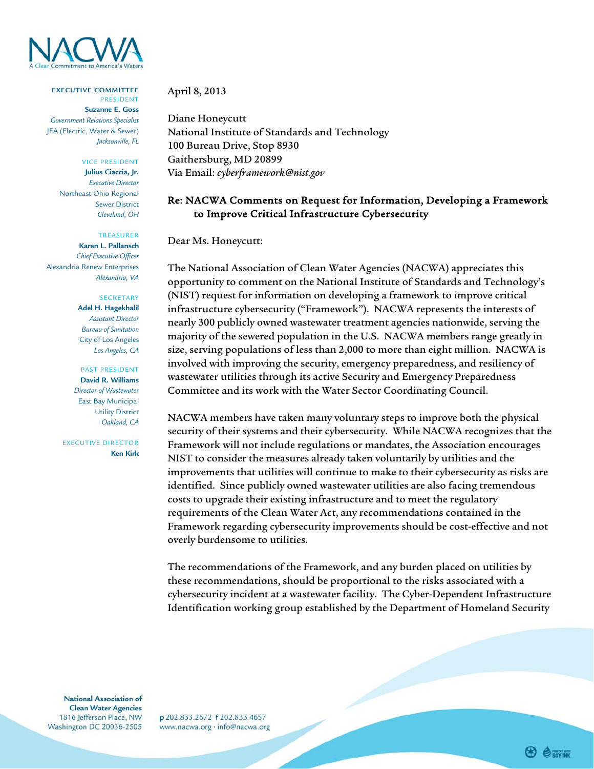

**EXECUTIVE COMMITTEE**  PRESIDENT

**Suzanne E. Goss**  *Government Relations Specialist*  JEA (Electric, Water & Sewer) *Jacksonville, FL* 

### VICE PRESIDENT

**Julius Ciaccia, Jr.**  *Executive Director*  Northeast Ohio Regional Sewer District *Cleveland, OH* 

## TREASURER

 *Chief Executive Officer*  **Karen L. Pallansch**  Alexandria Renew Enterprises *Alexandria, VA* 

#### SECRETARY

**Adel H. Hagekhalil**  *Assistant Director Bureau of Sanitation*  City of Los Angeles *Los Angeles, CA* 

#### PAST PRESIDENT

 *Director of Wastewater*  **David R. Williams**  East Bay Municipal Utility District *Oakland, CA* 

EXECUTIVE DIRECTOR **Ken Kirk** 

## April 8, 2013

 100 Bureau Drive, Stop 8930 Via Email: *cyberframework@nist.gov* Diane Honeycutt National Institute of Standards and Technology Gaithersburg, MD 20899

# Re: NACWA Comments on Request for Information, Developing a Framework to Improve Critical Infrastructure Cybersecurity

## Dear Ms. Honeycutt:

 The National Association of Clean Water Agencies (NACWA) appreciates this opportunity to comment on the National Institute of Standards and Technology's (NIST) request for information on developing a framework to improve critical infrastructure cybersecurity ("Framework"). NACWA represents the interests of nearly 300 publicly owned wastewater treatment agencies nationwide, serving the majority of the sewered population in the U.S. NACWA members range greatly in size, serving populations of less than 2,000 to more than eight million. NACWA is involved with improving the security, emergency preparedness, and resiliency of wastewater utilities through its active Security and Emergency Preparedness Committee and its work with the Water Sector Coordinating Council.

NACWA members have taken many voluntary steps to improve both the physical security of their systems and their cybersecurity. While NACWA recognizes that the Framework will not include regulations or mandates, the Association encourages NIST to consider the measures already taken voluntarily by utilities and the improvements that utilities will continue to make to their cybersecurity as risks are identified. Since publicly owned wastewater utilities are also facing tremendous costs to upgrade their existing infrastructure and to meet the regulatory requirements of the Clean Water Act, any recommendations contained in the Framework regarding cybersecurity improvements should be cost-effective and not overly burdensome to utilities.

The recommendations of the Framework, and any burden placed on utilities by these recommendations, should be proportional to the risks associated with a cybersecurity incident at a wastewater facility. The Cyber-Dependent Infrastructure Identification working group established by the Department of Homeland Security

National Association of **Clean Water Agencies** 1816 Jefferson Place, NW Washington DC 20036-2505

p 202.833.2672 f 202.833.4657 www.nacwa.org · info@nacwa.org